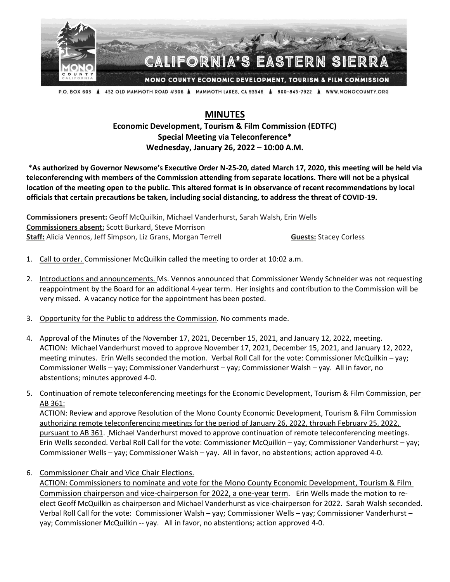

P.O. BOX 603 A 452 OLD MAMMOTH ROAD #306 A MAMMOTH LAKES, CA 93546 A 800-845-7922 A WWW.MONOCOUNTY.ORG

## **MINUTES**

**Economic Development, Tourism & Film Commission (EDTFC) Special Meeting via Teleconference\* Wednesday, January 26, 2022 – 10:00 A.M.**

**\*As authorized by Governor Newsome's Executive Order N-25-20, dated March 17, 2020, this meeting will be held via teleconferencing with members of the Commission attending from separate locations. There will not be a physical location of the meeting open to the public. This altered format is in observance of recent recommendations by local officials that certain precautions be taken, including social distancing, to address the threat of COVID-19.**

**Commissioners present:** Geoff McQuilkin, Michael Vanderhurst, Sarah Walsh, Erin Wells **Commissioners absent:** Scott Burkard, Steve Morrison **Staff:** Alicia Vennos, Jeff Simpson, Liz Grans, Morgan Terrell **Guests: Stacey Corless** 

- 1. Call to order. Commissioner McQuilkin called the meeting to order at 10:02 a.m.
- 2. Introductions and announcements. Ms. Vennos announced that Commissioner Wendy Schneider was not requesting reappointment by the Board for an additional 4-year term. Her insights and contribution to the Commission will be very missed. A vacancy notice for the appointment has been posted.
- 3. Opportunity for the Public to address the Commission. No comments made.
- 4. Approval of the Minutes of the November 17, 2021, December 15, 2021, and January 12, 2022, meeting. ACTION: Michael Vanderhurst moved to approve November 17, 2021, December 15, 2021, and January 12, 2022, meeting minutes. Erin Wells seconded the motion. Verbal Roll Call for the vote: Commissioner McQuilkin – yay; Commissioner Wells – yay; Commissioner Vanderhurst – yay; Commissioner Walsh – yay. All in favor, no abstentions; minutes approved 4-0.
- 5. Continuation of remote teleconferencing meetings for the Economic Development, Tourism & Film Commission, per AB 361:

ACTION: Review and approve Resolution of the Mono County Economic Development, Tourism & Film Commission authorizing remote teleconferencing meetings for the period of January 26, 2022, through February 25, 2022, pursuant to AB 361. Michael Vanderhurst moved to approve continuation of remote teleconferencing meetings. Erin Wells seconded. Verbal Roll Call for the vote: Commissioner McQuilkin – yay; Commissioner Vanderhurst – yay; Commissioner Wells – yay; Commissioner Walsh – yay. All in favor, no abstentions; action approved 4-0.

6. Commissioner Chair and Vice Chair Elections.

ACTION: Commissioners to nominate and vote for the Mono County Economic Development, Tourism & Film Commission chairperson and vice-chairperson for 2022, a one-year term. Erin Wells made the motion to reelect Geoff McQuilkin as chairperson and Michael Vanderhurst as vice-chairperson for 2022. Sarah Walsh seconded. Verbal Roll Call for the vote: Commissioner Walsh – yay; Commissioner Wells – yay; Commissioner Vanderhurst – yay; Commissioner McQuilkin -- yay. All in favor, no abstentions; action approved 4-0.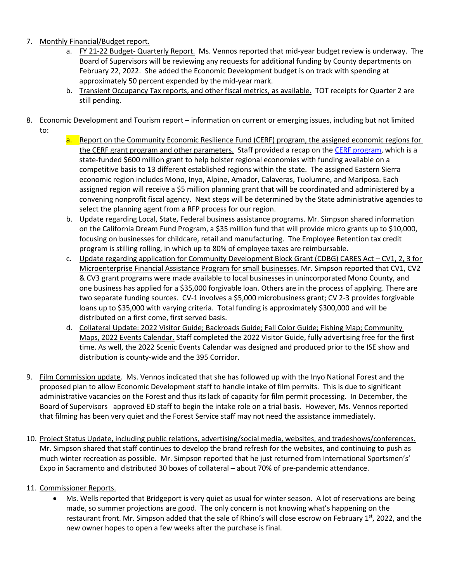## 7. Monthly Financial/Budget report.

- a. FY 21-22 Budget- Quarterly Report. Ms. Vennos reported that mid-year budget review is underway. The Board of Supervisors will be reviewing any requests for additional funding by County departments on February 22, 2022. She added the Economic Development budget is on track with spending at approximately 50 percent expended by the mid-year mark.
- b. Transient Occupancy Tax reports, and other fiscal metrics, as available. TOT receipts for Quarter 2 are still pending.

## 8. Economic Development and Tourism report – information on current or emerging issues, including but not limited to:

- 
- a. Report on the Community Economic Resilience Fund (CERF) program, the assigned economic regions for the CERF grant program and other parameters. Staff provided a recap on the CERF [program,](https://opr.ca.gov/economic-development/just-transition/docs/20211221-CERF_101_External_Partners.pdf) which is a state-funded \$600 million grant to help bolster regional economies with funding available on a competitive basis to 13 different established regions within the state. The assigned Eastern Sierra economic region includes Mono, Inyo, Alpine, Amador, Calaveras, Tuolumne, and Mariposa. Each assigned region will receive a \$5 million planning grant that will be coordinated and administered by a convening nonprofit fiscal agency. Next steps will be determined by the State administrative agencies to select the planning agent from a RFP process for our region.
- b. Update regarding Local, State, Federal business assistance programs. Mr. Simpson shared information on the California Dream Fund Program, a \$35 million fund that will provide micro grants up to \$10,000, focusing on businesses for childcare, retail and manufacturing. The Employee Retention tax credit program is stilling rolling, in which up to 80% of employee taxes are reimbursable.
- c. Update regarding application for Community Development Block Grant (CDBG) CARES Act CV1, 2, 3 for Microenterprise Financial Assistance Program for small businesses. Mr. Simpson reported that CV1, CV2 & CV3 grant programs were made available to local businesses in unincorporated Mono County, and one business has applied for a \$35,000 forgivable loan. Others are in the process of applying. There are two separate funding sources. CV-1 involves a \$5,000 microbusiness grant; CV 2-3 provides forgivable loans up to \$35,000 with varying criteria. Total funding is approximately \$300,000 and will be distributed on a first come, first served basis.
- d. Collateral Update: 2022 Visitor Guide; Backroads Guide; Fall Color Guide; Fishing Map; Community Maps, 2022 Events Calendar. Staff completed the 2022 Visitor Guide, fully advertising free for the first time. As well, the 2022 Scenic Events Calendar was designed and produced prior to the ISE show and distribution is county-wide and the 395 Corridor.
- 9. Film Commission update. Ms. Vennos indicated that she has followed up with the Inyo National Forest and the proposed plan to allow Economic Development staff to handle intake of film permits. This is due to significant administrative vacancies on the Forest and thus its lack of capacity for film permit processing. In December, the Board of Supervisors approved ED staff to begin the intake role on a trial basis. However, Ms. Vennos reported that filming has been very quiet and the Forest Service staff may not need the assistance immediately.
- 10. Project Status Update, including public relations, advertising/social media, websites, and tradeshows/conferences. Mr. Simpson shared that staff continues to develop the brand refresh for the websites, and continuing to push as much winter recreation as possible. Mr. Simpson reported that he just returned from International Sportsmen's' Expo in Sacramento and distributed 30 boxes of collateral – about 70% of pre-pandemic attendance.

## 11. Commissioner Reports.

• Ms. Wells reported that Bridgeport is very quiet as usual for winter season. A lot of reservations are being made, so summer projections are good. The only concern is not knowing what's happening on the restaurant front. Mr. Simpson added that the sale of Rhino's will close escrow on February 1<sup>st</sup>, 2022, and the new owner hopes to open a few weeks after the purchase is final.